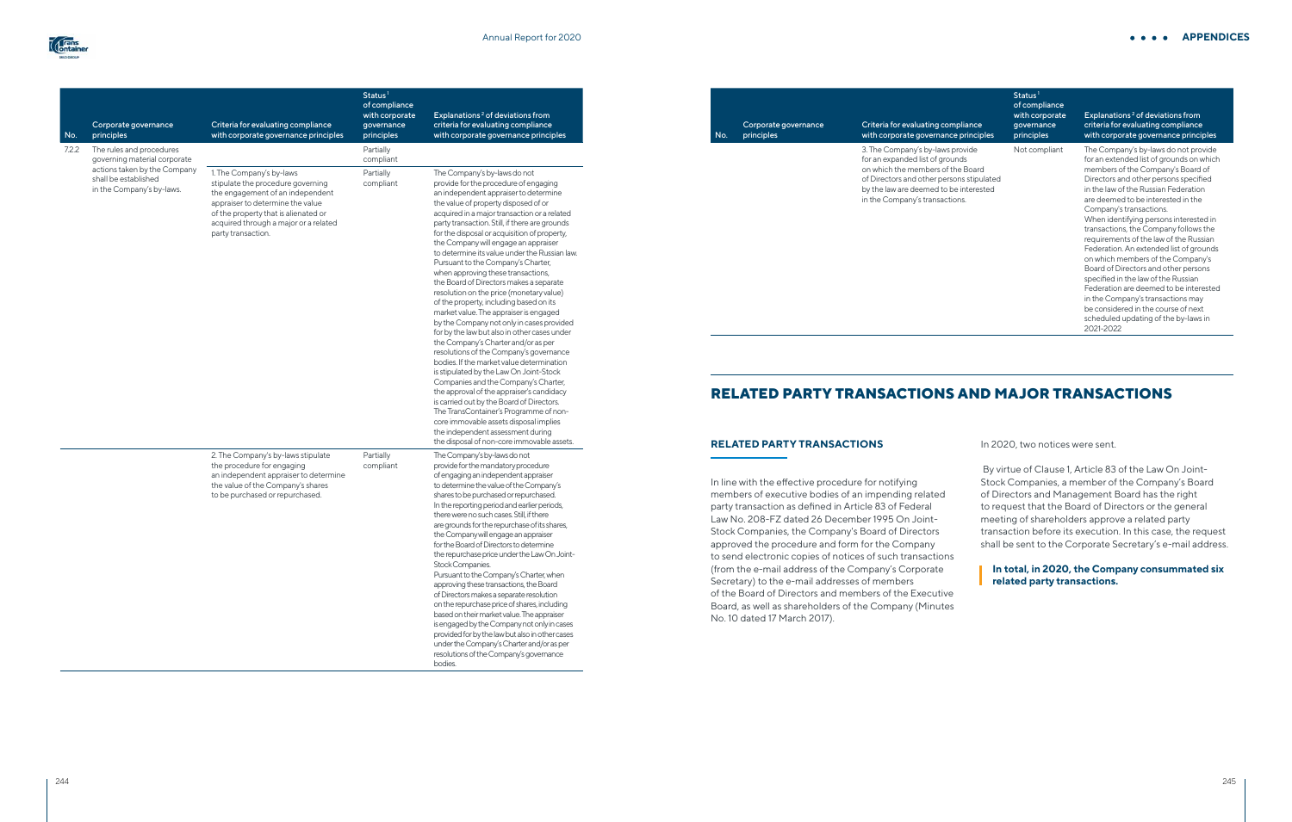| No.   | Corporate governance<br>principles                                                | Criteria for evaluating compliance<br>with corporate governance principles                                                                                                                                                                   | Status <sup>1</sup><br>of compliance<br>with corporate<br>governance<br>principles | Explanations <sup>2</sup> of deviations from<br>criteria for evaluating compliance<br>with corporate governance principles                                                                                                                                                                                                                                                                                                                                                                                                                                                                                                                                                                                                                                                                                                                                                                                                                                                                                                                                                                                                                                                                                                                |
|-------|-----------------------------------------------------------------------------------|----------------------------------------------------------------------------------------------------------------------------------------------------------------------------------------------------------------------------------------------|------------------------------------------------------------------------------------|-------------------------------------------------------------------------------------------------------------------------------------------------------------------------------------------------------------------------------------------------------------------------------------------------------------------------------------------------------------------------------------------------------------------------------------------------------------------------------------------------------------------------------------------------------------------------------------------------------------------------------------------------------------------------------------------------------------------------------------------------------------------------------------------------------------------------------------------------------------------------------------------------------------------------------------------------------------------------------------------------------------------------------------------------------------------------------------------------------------------------------------------------------------------------------------------------------------------------------------------|
|       | The rules and procedures<br>governing material corporate                          |                                                                                                                                                                                                                                              | Partially<br>compliant                                                             |                                                                                                                                                                                                                                                                                                                                                                                                                                                                                                                                                                                                                                                                                                                                                                                                                                                                                                                                                                                                                                                                                                                                                                                                                                           |
| 7.2.2 | actions taken by the Company<br>shall be established<br>in the Company's by-laws. | 1. The Company's by-laws<br>stipulate the procedure governing<br>the engagement of an independent<br>appraiser to determine the value<br>of the property that is alienated or<br>acquired through a major or a related<br>party transaction. | Partially<br>compliant                                                             | The Company's by-laws do not<br>provide for the procedure of engaging<br>an independent appraiser to determine<br>the value of property disposed of or<br>acquired in a major transaction or a related<br>party transaction. Still, if there are grounds<br>for the disposal or acquisition of property,<br>the Company will engage an appraiser<br>to determine its value under the Russian law.<br>Pursuant to the Company's Charter,<br>when approving these transactions,<br>the Board of Directors makes a separate<br>resolution on the price (monetary value)<br>of the property, including based on its<br>market value. The appraiser is engaged<br>by the Company not only in cases provided<br>for by the law but also in other cases under<br>the Company's Charter and/or as per<br>resolutions of the Company's governance<br>bodies. If the market value determination<br>is stipulated by the Law On Joint-Stock<br>Companies and the Company's Charter,<br>the approval of the appraiser's candidacy<br>is carried out by the Board of Directors.<br>The TransContainer's Programme of non-<br>core immovable assets disposal implies<br>the independent assessment during<br>the disposal of non-core immovable assets. |
|       |                                                                                   | 2. The Company's by-laws stipulate<br>the procedure for engaging<br>an independent appraiser to determine<br>the value of the Company's shares<br>to be purchased or repurchased.                                                            | Partially<br>compliant                                                             | The Company's by-laws do not<br>provide for the mandatory procedure<br>of engaging an independent appraiser<br>to determine the value of the Company's<br>shares to be purchased or repurchased.<br>In the reporting period and earlier periods,<br>there were no such cases. Still, if there<br>are grounds for the repurchase of its shares,<br>the Company will engage an appraiser<br>for the Board of Directors to determine<br>the repurchase price under the Law On Joint-<br>Stock Companies.<br>Pursuant to the Company's Charter, when<br>approving these transactions, the Board<br>of Directors makes a separate resolution<br>on the repurchase price of shares, including<br>based on their market value. The appraiser<br>is engaged by the Company not only in cases<br>provided for by the law but also in other cases<br>under the Company's Charter and/or as per<br>resolutions of the Company's governance<br>bodies.                                                                                                                                                                                                                                                                                                |

#### No. principles Corporate governance

Criteria for evaluatir with corporate gove

3. The Company's byfor an expanded list of on which the member of Directors and other by the law are deemed in the Company's tran

| ng compliance<br>mance principles                                                                             | Status <sup>1</sup><br>of compliance<br>with corporate<br>governance<br>principles | Explanations <sup>2</sup> of deviations from<br>criteria for evaluating compliance<br>with corporate governance principles                                                                                                                                                                                                                                                                                                                                                                                                                                                                                                                                                                                                                     |
|---------------------------------------------------------------------------------------------------------------|------------------------------------------------------------------------------------|------------------------------------------------------------------------------------------------------------------------------------------------------------------------------------------------------------------------------------------------------------------------------------------------------------------------------------------------------------------------------------------------------------------------------------------------------------------------------------------------------------------------------------------------------------------------------------------------------------------------------------------------------------------------------------------------------------------------------------------------|
| -laws provide<br>of grounds<br>ers of the Board<br>er persons stipulated<br>ed to be interested<br>nsactions. | Not compliant                                                                      | The Company's by-laws do not provide<br>for an extended list of grounds on which<br>members of the Company's Board of<br>Directors and other persons specified<br>in the law of the Russian Federation<br>are deemed to be interested in the<br>Company's transactions.<br>When identifying persons interested in<br>transactions, the Company follows the<br>requirements of the law of the Russian<br>Federation. An extended list of grounds<br>on which members of the Company's<br>Board of Directors and other persons<br>specified in the law of the Russian<br>Federation are deemed to be interested<br>in the Company's transactions may<br>be considered in the course of next<br>scheduled updating of the by-laws in<br>2021-2022 |

# **RELATED PARTY TRANSACTIONS AND MAJOR TRANSACTIONS**

## **RELATED PARTY TRANSACTIONS**

In line with the effective procedure for notifying members of executive bodies of an impending related party transaction as defined in Article 83 of Federal Law No. 208-FZ dated 26 December 1995 On Joint-Stock Companies, the Company's Board of Directors approved the procedure and form for the Company to send electronic copies of notices of such transactions (from the e-mail address of the Company's Corporate Secretary) to the e-mail addresses of members of the Board of Directors and members of the Executive Board, as well as shareholders of the Company (Minutes No. 10 dated 17 March 2017).

#### **APPENDICES**

In 2020, two notices were sent.

 By virtue of Clause 1, Article 83 of the Law On Joint-Stock Companies, a member of the Company's Board of Directors and Management Board has the right to request that the Board of Directors or the general meeting of shareholders approve a related party transaction before its execution. In this case, the request shall be sent to the Corporate Secretary's e-mail address.

**In total, in 2020, the Company consummated six related party transactions.**

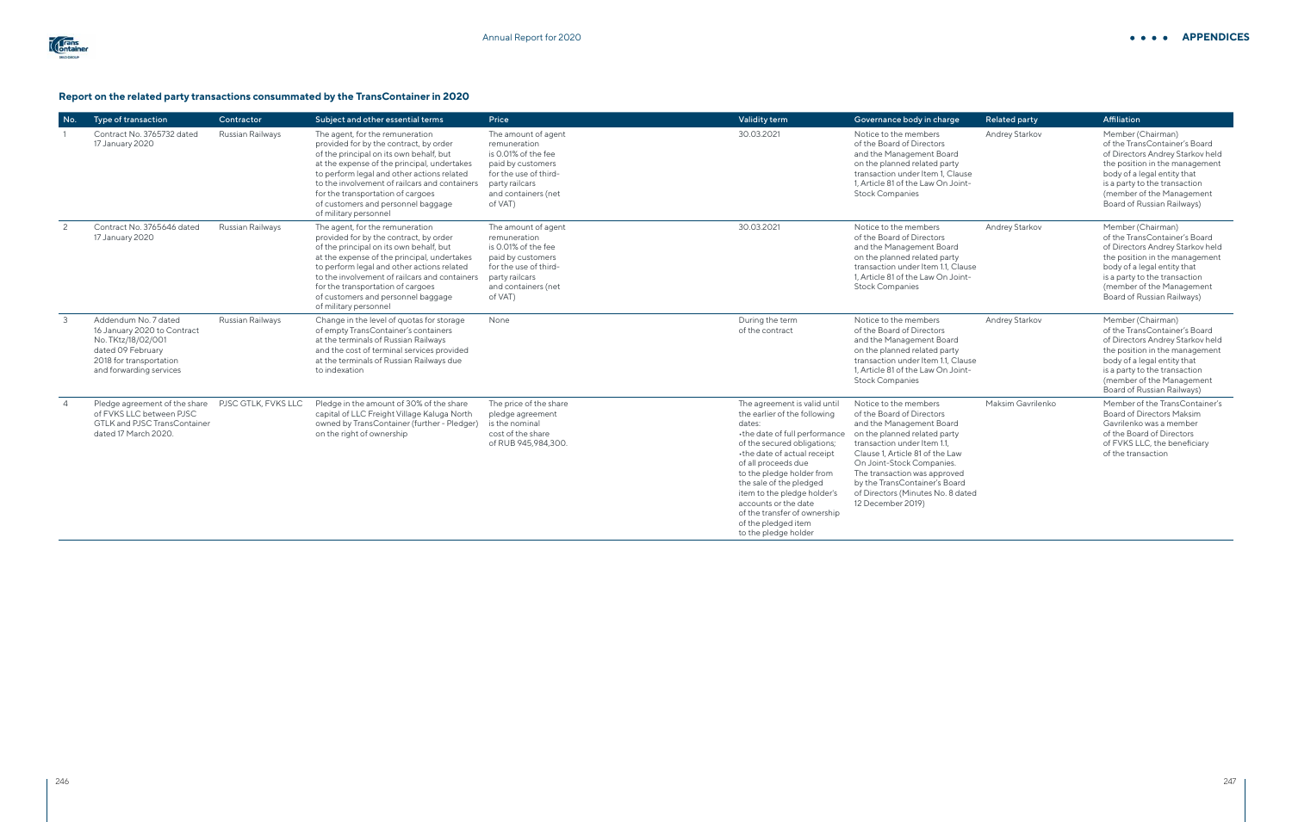#### **Report on the related party transactions consummated by the TransContainer in 2020**

| No.            | Type of transaction                                                                                                                                  | Contractor       | Subject and other essential terms                                                                                                                                                                                                                                                                                                                                      | Price                                                                                                                                                        | Validity term                                                                                                                                                                                                                                                                                                                                                                              | Governance body in charge                                                                                                                                                                                                                                                                                                                | Related party         | Affiliation                                                                                                                                                                                                                                         |
|----------------|------------------------------------------------------------------------------------------------------------------------------------------------------|------------------|------------------------------------------------------------------------------------------------------------------------------------------------------------------------------------------------------------------------------------------------------------------------------------------------------------------------------------------------------------------------|--------------------------------------------------------------------------------------------------------------------------------------------------------------|--------------------------------------------------------------------------------------------------------------------------------------------------------------------------------------------------------------------------------------------------------------------------------------------------------------------------------------------------------------------------------------------|------------------------------------------------------------------------------------------------------------------------------------------------------------------------------------------------------------------------------------------------------------------------------------------------------------------------------------------|-----------------------|-----------------------------------------------------------------------------------------------------------------------------------------------------------------------------------------------------------------------------------------------------|
|                | Contract No. 3765732 dated<br>17 January 2020                                                                                                        | Russian Railways | The agent, for the remuneration<br>provided for by the contract, by order<br>of the principal on its own behalf, but<br>at the expense of the principal, undertakes<br>to perform legal and other actions related<br>to the involvement of railcars and containers<br>for the transportation of cargoes<br>of customers and personnel baggage<br>of military personnel | The amount of agent<br>remuneration<br>is 0.01% of the fee<br>paid by customers<br>for the use of third-<br>party railcars<br>and containers (net<br>of VAT) | 30.03.2021                                                                                                                                                                                                                                                                                                                                                                                 | Notice to the members<br>of the Board of Directors<br>and the Management Board<br>on the planned related party<br>transaction under Item 1, Clause<br>1. Article 81 of the Law On Joint-<br><b>Stock Companies</b>                                                                                                                       | <b>Andrey Starkov</b> | Member (Chairman)<br>of the TransContainer's Board<br>of Directors Andrey Starkov held<br>the position in the management<br>body of a legal entity that<br>is a party to the transaction<br>(member of the Management<br>Board of Russian Railways) |
| 2              | Contract No. 3765646 dated<br>17 January 2020                                                                                                        | Russian Railways | The agent, for the remuneration<br>provided for by the contract, by order<br>of the principal on its own behalf, but<br>at the expense of the principal, undertakes<br>to perform legal and other actions related<br>to the involvement of railcars and containers<br>for the transportation of cargoes<br>of customers and personnel baggage<br>of military personnel | The amount of agent<br>remuneration<br>is 0.01% of the fee<br>paid by customers<br>for the use of third-<br>party railcars<br>and containers (net<br>of VAT) | 30.03.2021                                                                                                                                                                                                                                                                                                                                                                                 | Notice to the members<br>of the Board of Directors<br>and the Management Board<br>on the planned related party<br>transaction under Item 1.1, Clause<br>1. Article 81 of the Law On Joint-<br><b>Stock Companies</b>                                                                                                                     | Andrey Starkov        | Member (Chairman)<br>of the TransContainer's Board<br>of Directors Andrey Starkov held<br>the position in the management<br>body of a legal entity that<br>is a party to the transaction<br>(member of the Management<br>Board of Russian Railways) |
| 3              | Addendum No. 7 dated<br>16 January 2020 to Contract<br>No. TKtz/18/02/001<br>dated 09 February<br>2018 for transportation<br>and forwarding services | Russian Railways | Change in the level of quotas for storage<br>of empty TransContainer's containers<br>at the terminals of Russian Railways<br>and the cost of terminal services provided<br>at the terminals of Russian Railways due<br>to indexation                                                                                                                                   | None                                                                                                                                                         | During the term<br>of the contract                                                                                                                                                                                                                                                                                                                                                         | Notice to the members<br>of the Board of Directors<br>and the Management Board<br>on the planned related party<br>transaction under Item 1.1. Clause<br>1. Article 81 of the Law On Joint-<br><b>Stock Companies</b>                                                                                                                     | <b>Andrey Starkov</b> | Member (Chairman)<br>of the TransContainer's Board<br>of Directors Andrey Starkov held<br>the position in the management<br>body of a legal entity that<br>is a party to the transaction<br>(member of the Management<br>Board of Russian Railways) |
| $\overline{4}$ | Pledge agreement of the share PJSC GTLK, FVKS LLC<br>of FVKS LLC between PJSC<br><b>GTLK and PJSC TransContainer</b><br>dated 17 March 2020.         |                  | Pledge in the amount of 30% of the share<br>capital of LLC Freight Village Kaluga North<br>owned by TransContainer (further - Pledger)<br>on the right of ownership                                                                                                                                                                                                    | The price of the share<br>pledge agreement<br>is the nominal<br>cost of the share<br>of RUB 945,984,300.                                                     | The agreement is valid until<br>the earlier of the following<br>dates:<br>•the date of full performance<br>of the secured obligations;<br>•the date of actual receipt<br>of all proceeds due<br>to the pledge holder from<br>the sale of the pledged<br>item to the pledge holder's<br>accounts or the date<br>of the transfer of ownership<br>of the pledged item<br>to the pledge holder | Notice to the members<br>of the Board of Directors<br>and the Management Board<br>on the planned related party<br>transaction under Item 1.1,<br>Clause 1, Article 81 of the Law<br>On Joint-Stock Companies.<br>The transaction was approved<br>by the TransContainer's Board<br>of Directors (Minutes No. 8 dated<br>12 December 2019) | Maksim Gavrilenko     | Member of the TransContainer's<br><b>Board of Directors Maksim</b><br>Gavrilenko was a member<br>of the Board of Directors<br>of FVKS LLC, the beneficiary<br>of the transaction                                                                    |

#### **APPENDICES**

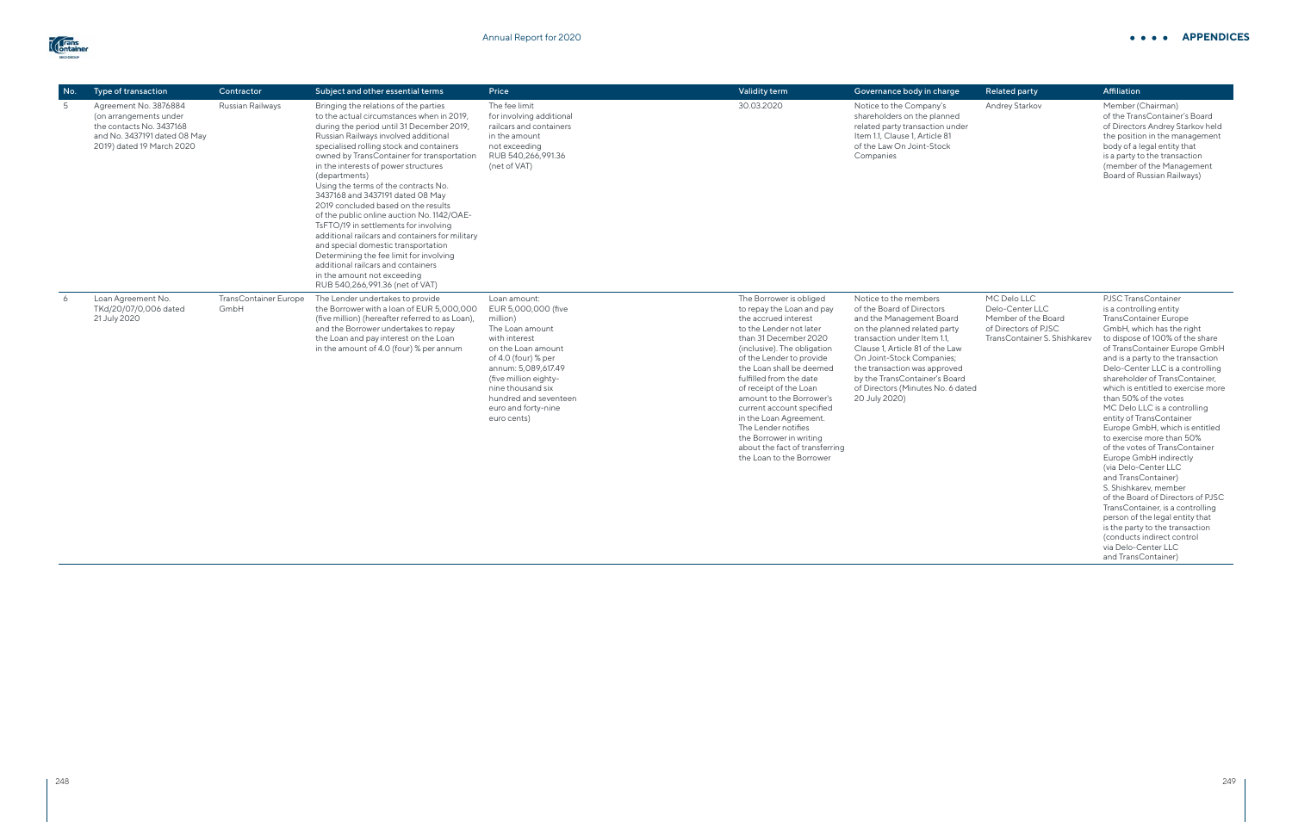| No. | Type of transaction                                                                                                                      | Contractor                           | Subject and other essential terms                                                                                                                                                                                                                                                                                                                                                                                                                                                                                                                                                                                                                                                                                                                                                 | Price                                                                                                                                                                                                                                                                | Validity term                                                                                                                                                                                                                                                                                                                                                                                                                                                                   | Governance body in charge                                                                                                                                                                                                                                                                                                            | Related party                                                                                                 | Affiliation                                                                                                                                                                                                                                                                                                                                                                                                                                                                                                                                                                                            |
|-----|------------------------------------------------------------------------------------------------------------------------------------------|--------------------------------------|-----------------------------------------------------------------------------------------------------------------------------------------------------------------------------------------------------------------------------------------------------------------------------------------------------------------------------------------------------------------------------------------------------------------------------------------------------------------------------------------------------------------------------------------------------------------------------------------------------------------------------------------------------------------------------------------------------------------------------------------------------------------------------------|----------------------------------------------------------------------------------------------------------------------------------------------------------------------------------------------------------------------------------------------------------------------|---------------------------------------------------------------------------------------------------------------------------------------------------------------------------------------------------------------------------------------------------------------------------------------------------------------------------------------------------------------------------------------------------------------------------------------------------------------------------------|--------------------------------------------------------------------------------------------------------------------------------------------------------------------------------------------------------------------------------------------------------------------------------------------------------------------------------------|---------------------------------------------------------------------------------------------------------------|--------------------------------------------------------------------------------------------------------------------------------------------------------------------------------------------------------------------------------------------------------------------------------------------------------------------------------------------------------------------------------------------------------------------------------------------------------------------------------------------------------------------------------------------------------------------------------------------------------|
| -5  | Agreement No. 3876884<br>(on arrangements under<br>the contacts No. 3437168<br>and No. 3437191 dated 08 May<br>2019) dated 19 March 2020 | Russian Railways                     | Bringing the relations of the parties<br>to the actual circumstances when in 2019.<br>during the period until 31 December 2019,<br>Russian Railways involved additional<br>specialised rolling stock and containers<br>owned by TransContainer for transportation<br>in the interests of power structures<br>(departments)<br>Using the terms of the contracts No.<br>3437168 and 3437191 dated 08 May<br>2019 concluded based on the results<br>of the public online auction No. 1142/OAE-<br>TsFTO/19 in settlements for involving<br>additional railcars and containers for military<br>and special domestic transportation<br>Determining the fee limit for involving<br>additional railcars and containers<br>in the amount not exceeding<br>RUB 540,266,991.36 (net of VAT) | The fee limit<br>for involving additional<br>railcars and containers<br>in the amount<br>not exceeding<br>RUB 540,266,991.36<br>(net of VAT)                                                                                                                         | 30.03.2020                                                                                                                                                                                                                                                                                                                                                                                                                                                                      | Notice to the Company's<br>shareholders on the planned<br>related party transaction under<br>Item 1.1, Clause 1, Article 81<br>of the Law On Joint-Stock<br>Companies                                                                                                                                                                | Andrey Starkov                                                                                                | Member (Chairman)<br>of the TransContainer's Board<br>of Directors Andrey Starkov held<br>the position in the management<br>body of a legal entity that<br>is a party to the transaction<br>(member of the Management<br>Board of Russian Railways)                                                                                                                                                                                                                                                                                                                                                    |
| 6   | Loan Agreement No.<br>TKd/20/07/0,006 dated<br>21 July 2020                                                                              | <b>TransContainer Europe</b><br>GmbH | The Lender undertakes to provide<br>the Borrower with a loan of EUR 5,000,000<br>(five million) (hereafter referred to as Loan),<br>and the Borrower undertakes to repay<br>the Loan and pay interest on the Loan<br>in the amount of 4.0 (four) % per annum                                                                                                                                                                                                                                                                                                                                                                                                                                                                                                                      | Loan amount:<br>EUR 5,000,000 (five<br>million)<br>The Loan amount<br>with interest<br>on the Loan amount<br>of 4.0 (four) % per<br>annum: 5,089,617.49<br>(five million eighty-<br>nine thousand six<br>hundred and seventeen<br>euro and forty-nine<br>euro cents) | The Borrower is obliged<br>to repay the Loan and pay<br>the accrued interest<br>to the Lender not later<br>than 31 December 2020<br>(inclusive). The obligation<br>of the Lender to provide<br>the Loan shall be deemed<br>fulfilled from the date<br>of receipt of the Loan<br>amount to the Borrower's<br>current account specified<br>in the Loan Agreement.<br>The Lender notifies<br>the Borrower in writing<br>about the fact of transferring<br>the Loan to the Borrower | Notice to the members<br>of the Board of Directors<br>and the Management Board<br>on the planned related party<br>transaction under Item 1.1.<br>Clause 1, Article 81 of the Law<br>On Joint-Stock Companies;<br>the transaction was approved<br>by the TransContainer's Board<br>of Directors (Minutes No. 6 dated<br>20 July 2020) | MC Delo LLC<br>Delo-Center LLC<br>Member of the Board<br>of Directors of PJSC<br>TransContainer S. Shishkarev | <b>PJSC TransContainer</b><br>is a controlling entity<br><b>TransContainer Europe</b><br>GmbH, which has the right<br>to dispose of 100% of the share<br>of TransContainer Europe GmbH<br>and is a party to the transaction<br>Delo-Center LLC is a controlling<br>shareholder of TransContainer.<br>which is entitled to exercise more<br>than 50% of the votes<br>MC Delo LLC is a controlling<br>entity of TransContainer<br>Europe GmbH, which is entitled<br>to exercise more than 50%<br>of the votes of TransContainer<br>Europe GmbH indirectly<br>(via Delo-Center LLC<br>and TransContainer) |

and TransContainer) S. Shishkarev, member of the Board of Directors of PJSC TransContainer, is a controlling person of the legal entity that is the party to the transaction (conducts indirect control via Delo-Center LLC and TransContainer)

### **APPENDICES**